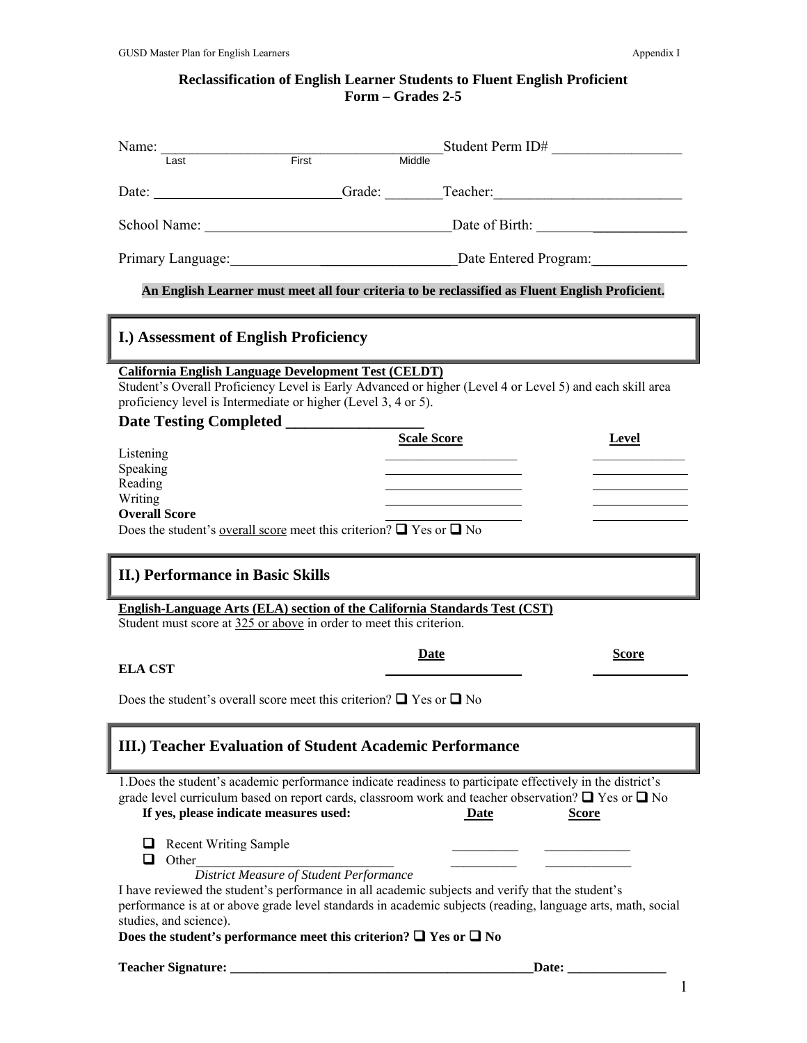## **Reclassification of English Learner Students to Fluent English Proficient Form – Grades 2-5**

| Name: $\frac{1}{1 \text{ act}}$ First                                                                                                                                                                                                                                                                | Student Perm ID#<br>Middle                                                                                  |  |  |  |  |
|------------------------------------------------------------------------------------------------------------------------------------------------------------------------------------------------------------------------------------------------------------------------------------------------------|-------------------------------------------------------------------------------------------------------------|--|--|--|--|
|                                                                                                                                                                                                                                                                                                      |                                                                                                             |  |  |  |  |
|                                                                                                                                                                                                                                                                                                      | Date: _________________________Grade: ________Teacher: __________________________                           |  |  |  |  |
|                                                                                                                                                                                                                                                                                                      |                                                                                                             |  |  |  |  |
|                                                                                                                                                                                                                                                                                                      | Primary Language: Date Entered Program:                                                                     |  |  |  |  |
| An English Learner must meet all four criteria to be reclassified as Fluent English Proficient.                                                                                                                                                                                                      |                                                                                                             |  |  |  |  |
| <b>I.) Assessment of English Proficiency</b>                                                                                                                                                                                                                                                         |                                                                                                             |  |  |  |  |
| <b>California English Language Development Test (CELDT)</b><br>Student's Overall Proficiency Level is Early Advanced or higher (Level 4 or Level 5) and each skill area<br>proficiency level is Intermediate or higher (Level 3, 4 or 5).                                                            |                                                                                                             |  |  |  |  |
|                                                                                                                                                                                                                                                                                                      |                                                                                                             |  |  |  |  |
| Listening                                                                                                                                                                                                                                                                                            | <b>Scale Score</b><br>Level                                                                                 |  |  |  |  |
| Speaking                                                                                                                                                                                                                                                                                             |                                                                                                             |  |  |  |  |
| Reading                                                                                                                                                                                                                                                                                              |                                                                                                             |  |  |  |  |
| Writing<br><b>Overall Score</b>                                                                                                                                                                                                                                                                      |                                                                                                             |  |  |  |  |
| Does the student's <u>overall score</u> meet this criterion? $\Box$ Yes or $\Box$ No                                                                                                                                                                                                                 |                                                                                                             |  |  |  |  |
|                                                                                                                                                                                                                                                                                                      |                                                                                                             |  |  |  |  |
| II.) Performance in Basic Skills                                                                                                                                                                                                                                                                     |                                                                                                             |  |  |  |  |
| <b>English-Language Arts (ELA) section of the California Standards Test (CST)</b><br>Student must score at 325 or above in order to meet this criterion.                                                                                                                                             |                                                                                                             |  |  |  |  |
|                                                                                                                                                                                                                                                                                                      | <b>Score</b><br>Date                                                                                        |  |  |  |  |
| <b>ELA CST</b>                                                                                                                                                                                                                                                                                       |                                                                                                             |  |  |  |  |
| Does the student's overall score meet this criterion? $\Box$ Yes or $\Box$ No                                                                                                                                                                                                                        |                                                                                                             |  |  |  |  |
| III.) Teacher Evaluation of Student Academic Performance                                                                                                                                                                                                                                             |                                                                                                             |  |  |  |  |
| 1. Does the student's academic performance indicate readiness to participate effectively in the district's<br>grade level curriculum based on report cards, classroom work and teacher observation? $\Box$ Yes or $\Box$ No<br>If yes, please indicate measures used:<br><b>Date</b><br><b>Score</b> |                                                                                                             |  |  |  |  |
|                                                                                                                                                                                                                                                                                                      |                                                                                                             |  |  |  |  |
| Recent Writing Sample<br>Other<br>□                                                                                                                                                                                                                                                                  |                                                                                                             |  |  |  |  |
| <b>District Measure of Student Performance</b><br>I have reviewed the student's performance in all academic subjects and verify that the student's                                                                                                                                                   |                                                                                                             |  |  |  |  |
|                                                                                                                                                                                                                                                                                                      | performance is at or above grade level standards in academic subjects (reading, language arts, math, social |  |  |  |  |
| studies, and science).<br>Does the student's performance meet this criterion? $\Box$ Yes or $\Box$ No                                                                                                                                                                                                |                                                                                                             |  |  |  |  |

1